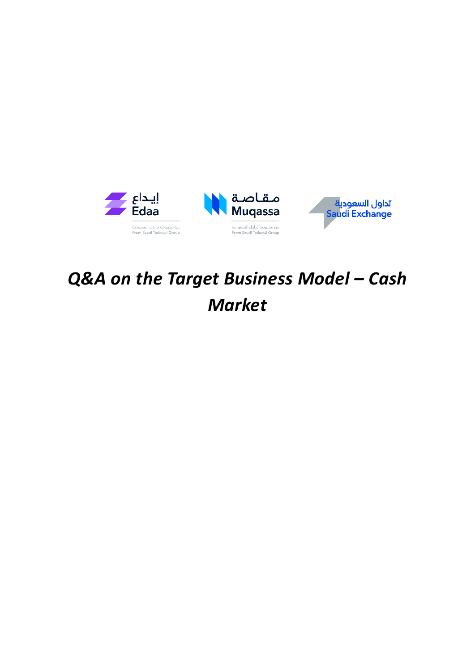

# *Q&A on the Target Business Model – Cash Market*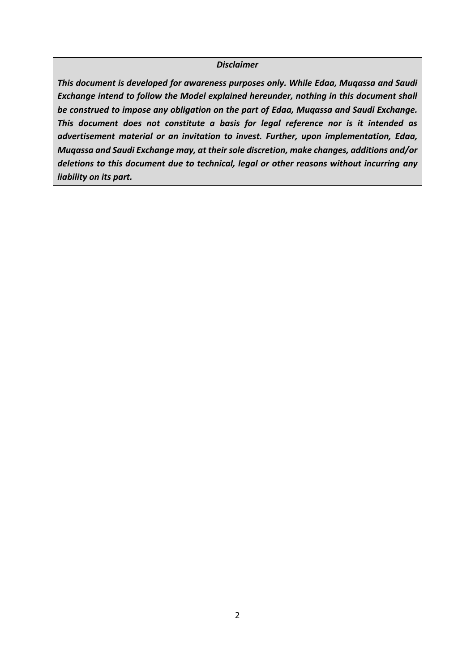#### *Disclaimer*

*This document is developed for awareness purposes only. While Edaa, Muqassa and Saudi Exchange intend to follow the Model explained hereunder, nothing in this document shall be construed to impose any obligation on the part of Edaa, Muqassa and Saudi Exchange. This document does not constitute a basis for legal reference nor is it intended as advertisement material or an invitation to invest. Further, upon implementation, Edaa, Muqassa and Saudi Exchange may, at their sole discretion, make changes, additions and/or deletions to this document due to technical, legal or other reasons without incurring any liability on its part.*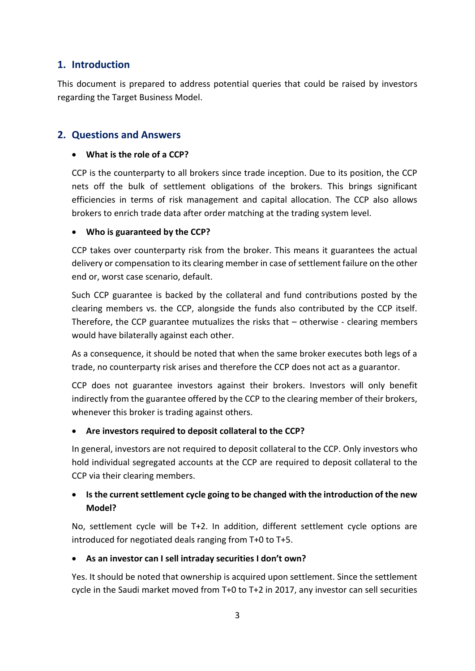# **1. Introduction**

This document is prepared to address potential queries that could be raised by investors regarding the Target Business Model.

# **2. Questions and Answers**

#### **What is the role of a CCP?**

CCP is the counterparty to all brokers since trade inception. Due to its position, the CCP nets off the bulk of settlement obligations of the brokers. This brings significant efficiencies in terms of risk management and capital allocation. The CCP also allows brokers to enrich trade data after order matching at the trading system level.

### **Who is guaranteed by the CCP?**

CCP takes over counterparty risk from the broker. This means it guarantees the actual delivery or compensation to its clearing member in case of settlement failure on the other end or, worst case scenario, default.

Such CCP guarantee is backed by the collateral and fund contributions posted by the clearing members vs. the CCP, alongside the funds also contributed by the CCP itself. Therefore, the CCP guarantee mutualizes the risks that – otherwise - clearing members would have bilaterally against each other.

As a consequence, it should be noted that when the same broker executes both legs of a trade, no counterparty risk arises and therefore the CCP does not act as a guarantor.

CCP does not guarantee investors against their brokers. Investors will only benefit indirectly from the guarantee offered by the CCP to the clearing member of their brokers, whenever this broker is trading against others.

#### **Are investors required to deposit collateral to the CCP?**

In general, investors are not required to deposit collateral to the CCP. Only investors who hold individual segregated accounts at the CCP are required to deposit collateral to the CCP via their clearing members.

# **Is the current settlement cycle going to be changed with the introduction of the new Model?**

No, settlement cycle will be T+2. In addition, different settlement cycle options are introduced for negotiated deals ranging from T+0 to T+5.

# **As an investor can I sell intraday securities I don't own?**

Yes. It should be noted that ownership is acquired upon settlement. Since the settlement cycle in the Saudi market moved from T+0 to T+2 in 2017, any investor can sell securities